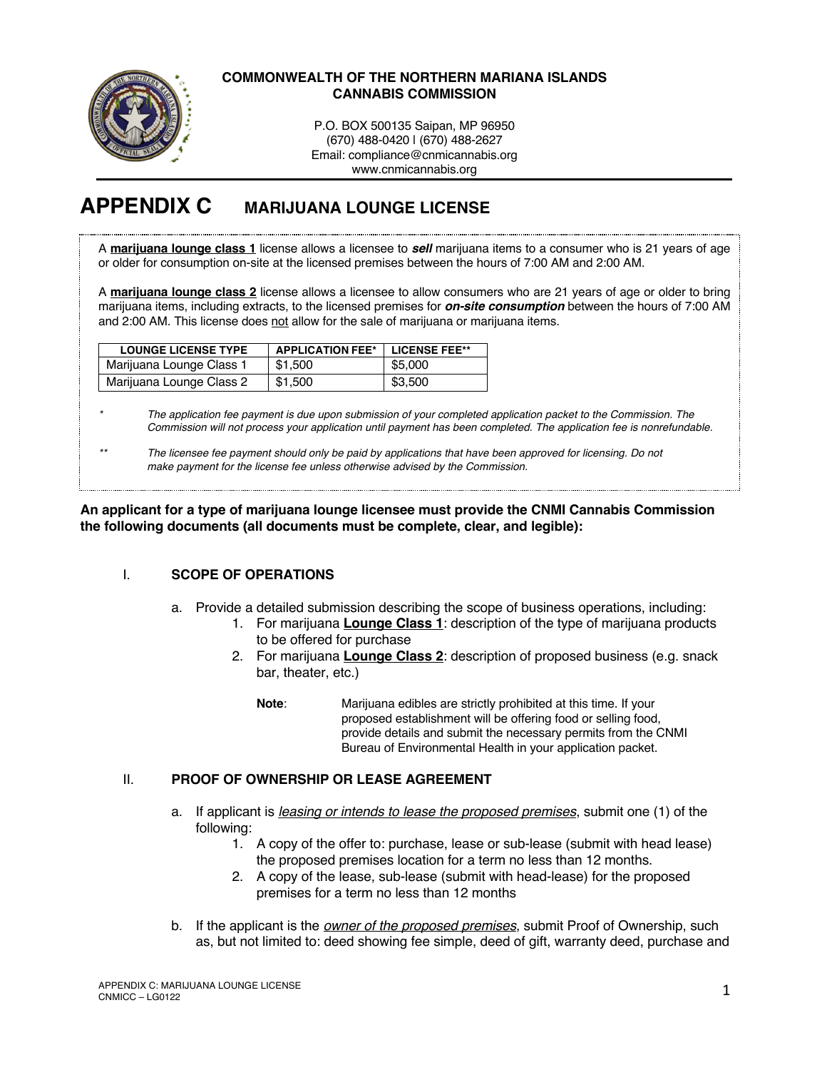

### **COMMONWEALTH OF THE NORTHERN MARIANA ISLANDS CANNABIS COMMISSION**

P.O. BOX 500135 Saipan, MP 96950 (670) 488-0420 | (670) 488-2627 Email: compliance@cnmicannabis.org www.cnmicannabis.org

# **APPENDIX C MARIJUANA LOUNGE LICENSE**

A **marijuana lounge class 1** license allows a licensee to *sell* marijuana items to a consumer who is 21 years of age or older for consumption on-site at the licensed premises between the hours of 7:00 AM and 2:00 AM.

A **marijuana lounge class 2** license allows a licensee to allow consumers who are 21 years of age or older to bring marijuana items, including extracts, to the licensed premises for *on-site consumption* between the hours of 7:00 AM and 2:00 AM. This license does not allow for the sale of marijuana or marijuana items.

| <b>LOUNGE LICENSE TYPE</b> | <b>APPLICATION FEE*</b> | LICENSE FEE** |
|----------------------------|-------------------------|---------------|
| Marijuana Lounge Class 1   | \$1.500                 | \$5.000       |
| Marijuana Lounge Class 2   | \$1,500                 | \$3,500       |

*\* The application fee payment is due upon submission of your completed application packet to the Commission. The Commission will not process your application until payment has been completed. The application fee is nonrefundable.*

*\*\* The licensee fee payment should only be paid by applications that have been approved for licensing. Do not make payment for the license fee unless otherwise advised by the Commission.*

**An applicant for a type of marijuana lounge licensee must provide the CNMI Cannabis Commission the following documents (all documents must be complete, clear, and legible):**

# I. **SCOPE OF OPERATIONS**

- a. Provide a detailed submission describing the scope of business operations, including:
	- 1. For marijuana **Lounge Class 1**: description of the type of marijuana products to be offered for purchase
	- 2. For marijuana **Lounge Class 2**: description of proposed business (e.g. snack bar, theater, etc.)

**Note**: Marijuana edibles are strictly prohibited at this time. If your proposed establishment will be offering food or selling food, provide details and submit the necessary permits from the CNMI Bureau of Environmental Health in your application packet.

# II. **PROOF OF OWNERSHIP OR LEASE AGREEMENT**

- a. If applicant is *leasing or intends to lease the proposed premises*, submit one (1) of the following:
	- 1. A copy of the offer to: purchase, lease or sub-lease (submit with head lease) the proposed premises location for a term no less than 12 months.
	- 2. A copy of the lease, sub-lease (submit with head-lease) for the proposed premises for a term no less than 12 months
- b. If the applicant is the *owner of the proposed premises*, submit Proof of Ownership, such as, but not limited to: deed showing fee simple, deed of gift, warranty deed, purchase and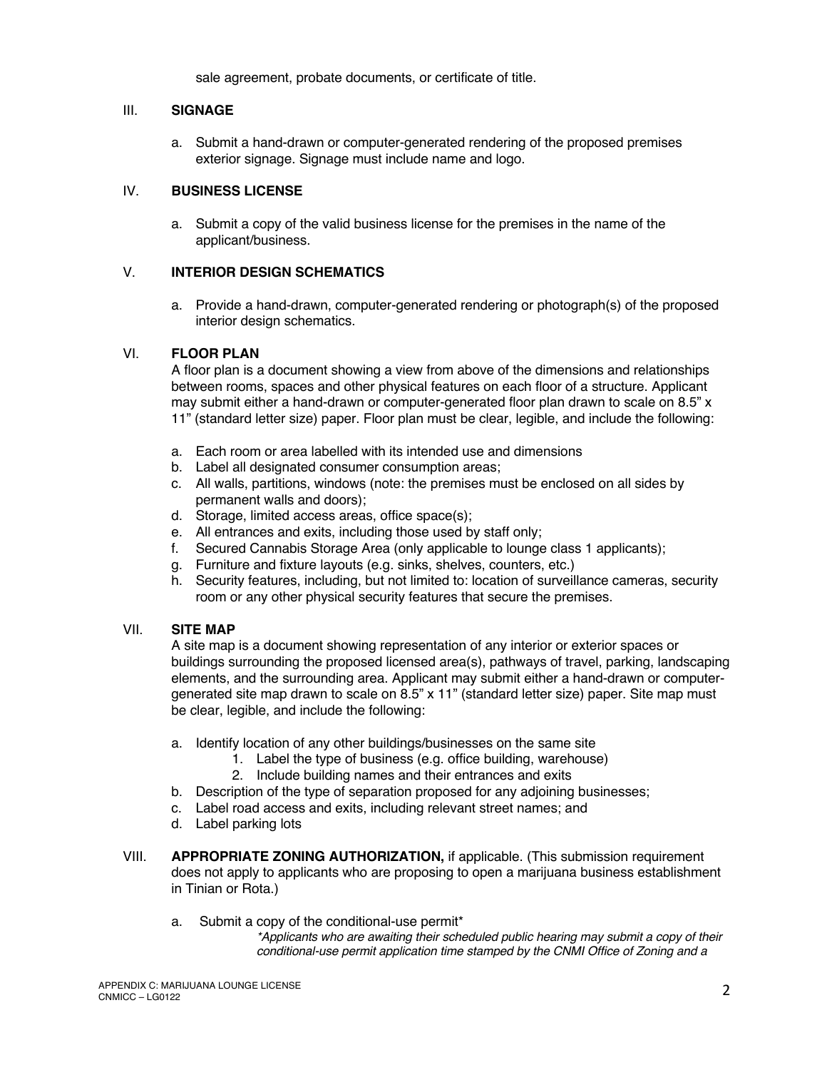sale agreement, probate documents, or certificate of title.

# III. **SIGNAGE**

a. Submit a hand-drawn or computer-generated rendering of the proposed premises exterior signage. Signage must include name and logo.

### IV. **BUSINESS LICENSE**

a. Submit a copy of the valid business license for the premises in the name of the applicant/business.

### V. **INTERIOR DESIGN SCHEMATICS**

a. Provide a hand-drawn, computer-generated rendering or photograph(s) of the proposed interior design schematics.

### VI. **FLOOR PLAN**

A floor plan is a document showing a view from above of the dimensions and relationships between rooms, spaces and other physical features on each floor of a structure. Applicant may submit either a hand-drawn or computer-generated floor plan drawn to scale on 8.5" x 11" (standard letter size) paper. Floor plan must be clear, legible, and include the following:

- a. Each room or area labelled with its intended use and dimensions
- b. Label all designated consumer consumption areas;
- c. All walls, partitions, windows (note: the premises must be enclosed on all sides by permanent walls and doors);
- d. Storage, limited access areas, office space(s);
- e. All entrances and exits, including those used by staff only;
- f. Secured Cannabis Storage Area (only applicable to lounge class 1 applicants);
- g. Furniture and fixture layouts (e.g. sinks, shelves, counters, etc.)
- h. Security features, including, but not limited to: location of surveillance cameras, security room or any other physical security features that secure the premises.

#### VII. **SITE MAP**

A site map is a document showing representation of any interior or exterior spaces or buildings surrounding the proposed licensed area(s), pathways of travel, parking, landscaping elements, and the surrounding area. Applicant may submit either a hand-drawn or computergenerated site map drawn to scale on 8.5" x 11" (standard letter size) paper. Site map must be clear, legible, and include the following:

- a. Identify location of any other buildings/businesses on the same site
	- 1. Label the type of business (e.g. office building, warehouse)
	- 2. Include building names and their entrances and exits
- b. Description of the type of separation proposed for any adjoining businesses;
- c. Label road access and exits, including relevant street names; and
- d. Label parking lots
- VIII. **APPROPRIATE ZONING AUTHORIZATION,** if applicable. (This submission requirement does not apply to applicants who are proposing to open a marijuana business establishment in Tinian or Rota.)
	- a. Submit a copy of the conditional-use permit\*

*\*Applicants who are awaiting their scheduled public hearing may submit a copy of their conditional-use permit application time stamped by the CNMI Office of Zoning and a*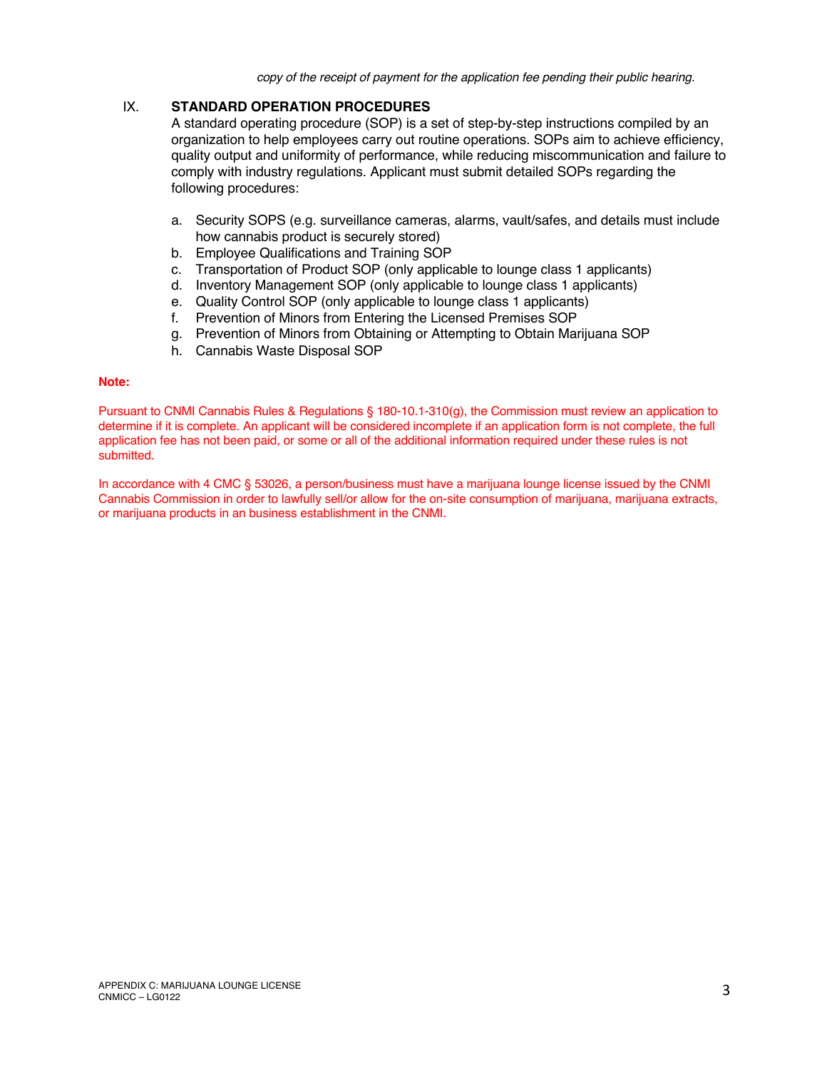*copy of the receipt of payment for the application fee pending their public hearing.* 

# IX. **STANDARD OPERATION PROCEDURES**

A standard operating procedure (SOP) is a set of step-by-step instructions compiled by an organization to help employees carry out routine operations. SOPs aim to achieve efficiency, quality output and uniformity of performance, while reducing miscommunication and failure to comply with industry regulations. Applicant must submit detailed SOPs regarding the following procedures:

- a. Security SOPS (e.g. surveillance cameras, alarms, vault/safes, and details must include how cannabis product is securely stored)
- b. Employee Qualifications and Training SOP
- c. Transportation of Product SOP (only applicable to lounge class 1 applicants)
- d. Inventory Management SOP (only applicable to lounge class 1 applicants)
- e. Quality Control SOP (only applicable to lounge class 1 applicants)
- f. Prevention of Minors from Entering the Licensed Premises SOP
- g. Prevention of Minors from Obtaining or Attempting to Obtain Marijuana SOP
- h. Cannabis Waste Disposal SOP

#### **Note:**

Pursuant to CNMI Cannabis Rules & Regulations § 180-10.1-310(g), the Commission must review an application to determine if it is complete. An applicant will be considered incomplete if an application form is not complete, the full application fee has not been paid, or some or all of the additional information required under these rules is not submitted.

In accordance with 4 CMC § 53026, a person/business must have a marijuana lounge license issued by the CNMI Cannabis Commission in order to lawfully sell/or allow for the on-site consumption of marijuana, marijuana extracts, or marijuana products in an business establishment in the CNMI.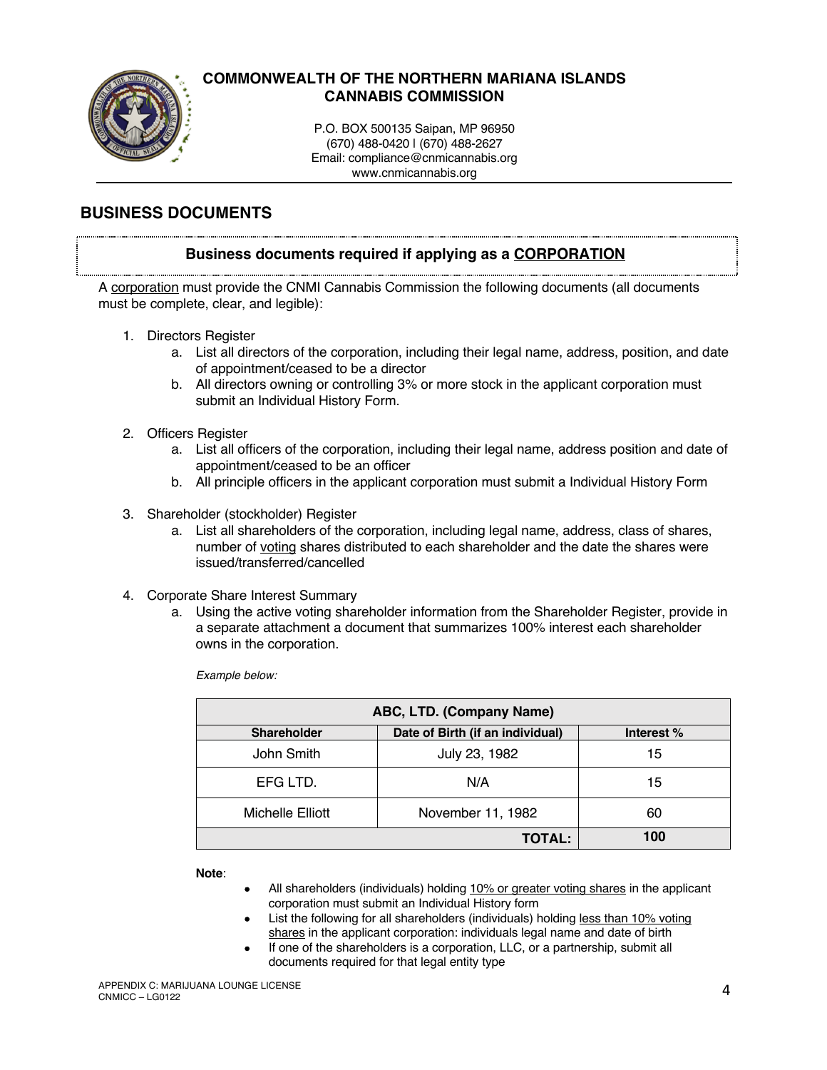

# **COMMONWEALTH OF THE NORTHERN MARIANA ISLANDS CANNABIS COMMISSION**

P.O. BOX 500135 Saipan, MP 96950 (670) 488-0420 | (670) 488-2627 Email: compliance@cnmicannabis.org www.cnmicannabis.org

# **BUSINESS DOCUMENTS**

# **Business documents required if applying as a CORPORATION**

A corporation must provide the CNMI Cannabis Commission the following documents (all documents must be complete, clear, and legible):

- 1. Directors Register
	- a. List all directors of the corporation, including their legal name, address, position, and date of appointment/ceased to be a director
	- b. All directors owning or controlling 3% or more stock in the applicant corporation must submit an Individual History Form.
- 2. Officers Register
	- a. List all officers of the corporation, including their legal name, address position and date of appointment/ceased to be an officer
	- b. All principle officers in the applicant corporation must submit a Individual History Form
- 3. Shareholder (stockholder) Register
	- a. List all shareholders of the corporation, including legal name, address, class of shares, number of voting shares distributed to each shareholder and the date the shares were issued/transferred/cancelled
- 4. Corporate Share Interest Summary
	- a. Using the active voting shareholder information from the Shareholder Register, provide in a separate attachment a document that summarizes 100% interest each shareholder owns in the corporation.

*Example below:*

| ABC, LTD. (Company Name) |                                  |            |  |
|--------------------------|----------------------------------|------------|--|
| <b>Shareholder</b>       | Date of Birth (if an individual) | Interest % |  |
| John Smith               | July 23, 1982                    | 15         |  |
| EFG LTD.                 | N/A                              | 15         |  |
| Michelle Elliott         | November 11, 1982                | 60         |  |
| <b>TOTAL:</b>            |                                  | 100        |  |

**Note**:

- All shareholders (individuals) holding 10% or greater voting shares in the applicant corporation must submit an Individual History form
- List the following for all shareholders (individuals) holding less than 10% voting shares in the applicant corporation: individuals legal name and date of birth
- If one of the shareholders is a corporation, LLC, or a partnership, submit all documents required for that legal entity type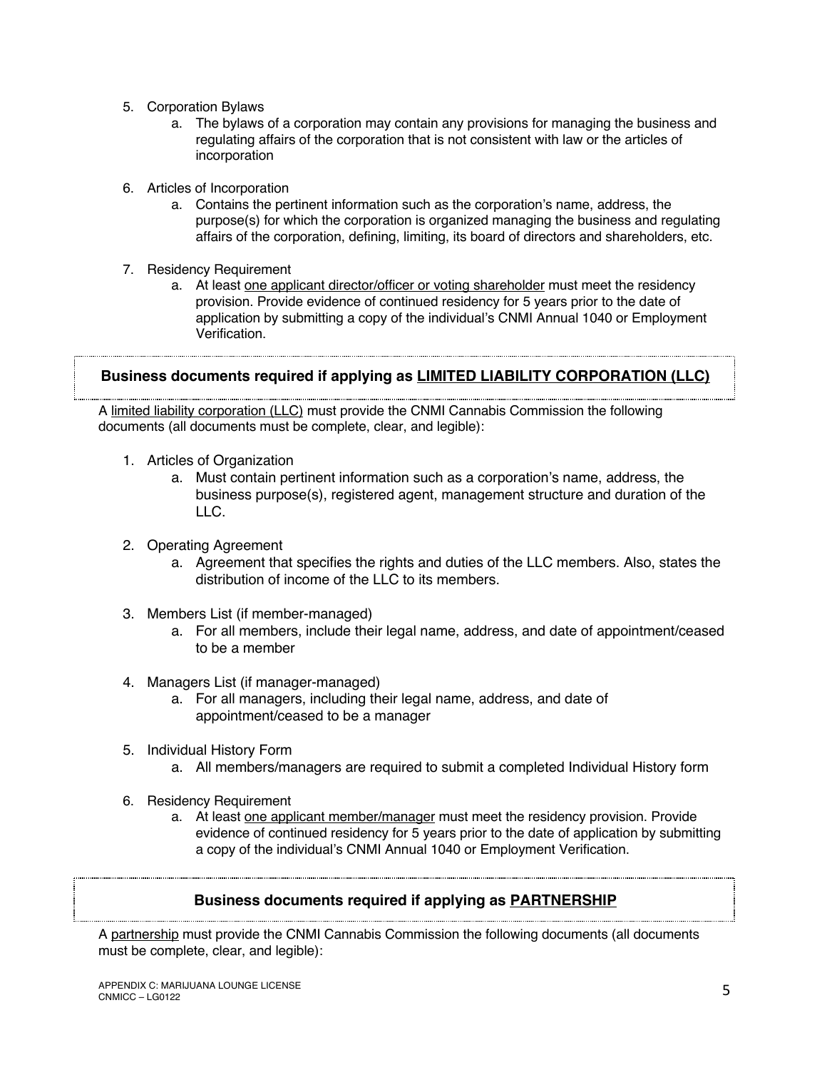- 5. Corporation Bylaws
	- a. The bylaws of a corporation may contain any provisions for managing the business and regulating affairs of the corporation that is not consistent with law or the articles of incorporation
- 6. Articles of Incorporation
	- a. Contains the pertinent information such as the corporation's name, address, the purpose(s) for which the corporation is organized managing the business and regulating affairs of the corporation, defining, limiting, its board of directors and shareholders, etc.
- 7. Residency Requirement
	- a. At least one applicant director/officer or voting shareholder must meet the residency provision. Provide evidence of continued residency for 5 years prior to the date of application by submitting a copy of the individual's CNMI Annual 1040 or Employment Verification.

# **Business documents required if applying as LIMITED LIABILITY CORPORATION (LLC)**

A limited liability corporation (LLC) must provide the CNMI Cannabis Commission the following documents (all documents must be complete, clear, and legible):

- 1. Articles of Organization
	- a. Must contain pertinent information such as a corporation's name, address, the business purpose(s), registered agent, management structure and duration of the LLC.
- 2. Operating Agreement
	- a. Agreement that specifies the rights and duties of the LLC members. Also, states the distribution of income of the LLC to its members.
- 3. Members List (if member-managed)
	- a. For all members, include their legal name, address, and date of appointment/ceased to be a member
- 4. Managers List (if manager-managed)
	- a. For all managers, including their legal name, address, and date of appointment/ceased to be a manager
- 5. Individual History Form
	- a. All members/managers are required to submit a completed Individual History form
- 6. Residency Requirement
	- a. At least one applicant member/manager must meet the residency provision. Provide evidence of continued residency for 5 years prior to the date of application by submitting a copy of the individual's CNMI Annual 1040 or Employment Verification.

# **Business documents required if applying as PARTNERSHIP**

A partnership must provide the CNMI Cannabis Commission the following documents (all documents must be complete, clear, and legible):